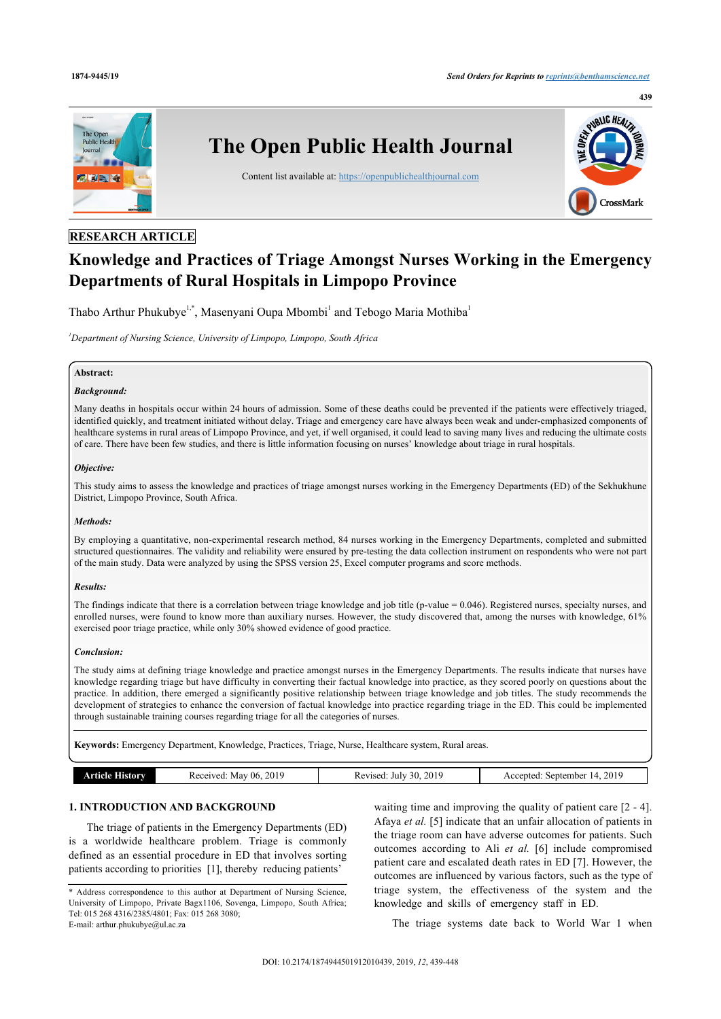

## **RESEARCH ARTICLE**

# **Knowledge and Practices of Triage Amongst Nurses Working in the Emergency Departments of Rural Hospitals in Limpopo Province**

Thabo Arthur Phukubye<sup>[1,](#page-0-0)[\\*](#page-0-1)</sup>, Masenyani Oupa Mbombi<sup>[1](#page-0-0)</sup> and Tebogo Maria Mothiba<sup>1</sup>

<span id="page-0-0"></span>*<sup>1</sup>Department of Nursing Science, University of Limpopo, Limpopo, South Africa*

## **Abstract:**

## *Background:*

Many deaths in hospitals occur within 24 hours of admission. Some of these deaths could be prevented if the patients were effectively triaged, identified quickly, and treatment initiated without delay. Triage and emergency care have always been weak and under-emphasized components of healthcare systems in rural areas of Limpopo Province, and yet, if well organised, it could lead to saving many lives and reducing the ultimate costs of care. There have been few studies, and there is little information focusing on nurses' knowledge about triage in rural hospitals.

#### *Objective:*

This study aims to assess the knowledge and practices of triage amongst nurses working in the Emergency Departments (ED) of the Sekhukhune District, Limpopo Province, South Africa.

#### *Methods:*

By employing a quantitative, non-experimental research method, 84 nurses working in the Emergency Departments, completed and submitted structured questionnaires. The validity and reliability were ensured by pre-testing the data collection instrument on respondents who were not part of the main study. Data were analyzed by using the SPSS version 25, Excel computer programs and score methods.

#### *Results:*

The findings indicate that there is a correlation between triage knowledge and job title (p-value = 0.046). Registered nurses, specialty nurses, and enrolled nurses, were found to know more than auxiliary nurses. However, the study discovered that, among the nurses with knowledge, 61% exercised poor triage practice, while only 30% showed evidence of good practice.

#### *Conclusion:*

The study aims at defining triage knowledge and practice amongst nurses in the Emergency Departments. The results indicate that nurses have knowledge regarding triage but have difficulty in converting their factual knowledge into practice, as they scored poorly on questions about the practice. In addition, there emerged a significantly positive relationship between triage knowledge and job titles. The study recommends the development of strategies to enhance the conversion of factual knowledge into practice regarding triage in the ED. This could be implemented through sustainable training courses regarding triage for all the categories of nurses.

**Keywords:** Emergency Department, Knowledge, Practices, Triage, Nurse, Healthcare system, Rural areas.

| <br>2019      | 2019   | 2019      |
|---------------|--------|-----------|
| 06.           | 30     | September |
| <b>PCAUPO</b> | :vised | 0.003     |
| Mav           | hilv   | -01 C.    |
|               |        |           |
| . .           | .      |           |

## **1. INTRODUCTION AND BACKGROUND**

The triage of patients in the Emergency Departments (ED) is a worldwide healthcare problem. Triage is commonly defined as an essential procedure in ED that involves sorting patients according to priorities [[1](#page-9-0)], thereby reducing patients'

waiting time and improving the quality of patient care [[2](#page-9-1) - [4](#page-9-2)]. Afaya *et al.* [[5\]](#page-9-3) indicate that an unfair allocation of patients in the triage room can have adverse outcomes for patients. Such outcomes according to Ali *et al.* [[6\]](#page-9-4) include compromised patient care and escalated death rates in ED [\[7](#page-9-5)]. However, the outcomes are influenced by various factors, such as the type of triage system, the effectiveness of the system and the knowledge and skills of emergency staff in ED.

The triage systems date back to World War 1 when

<span id="page-0-1"></span><sup>\*</sup> Address correspondence to this author at Department of Nursing Science, University of Limpopo, Private Bagx1106, Sovenga, Limpopo, South Africa; Tel: 015 268 4316/2385/4801; Fax: 015 268 3080; E-mail: [arthur.phukubye@ul.ac.za](mailto:arthur.phukubye@ul.ac.za)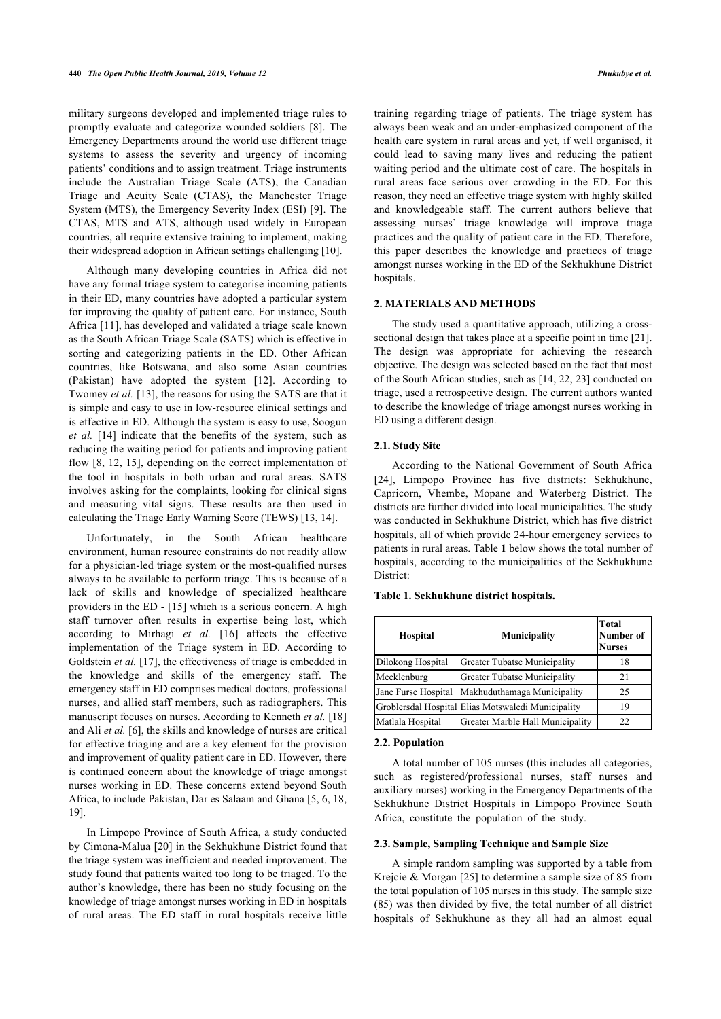military surgeons developed and implemented triage rules to promptly evaluate and categorize wounded soldiers [[8](#page-9-6)]. The Emergency Departments around the world use different triage systems to assess the severity and urgency of incoming patients' conditions and to assign treatment. Triage instruments include the Australian Triage Scale (ATS), the Canadian Triage and Acuity Scale (CTAS), the Manchester Triage System (MTS), the Emergency Severity Index (ESI) [\[9\]](#page-9-7). The CTAS, MTS and ATS, although used widely in European countries, all require extensive training to implement, making their widespread adoption in African settings challenging [\[10](#page-9-8)].

Although many developing countries in Africa did not have any formal triage system to categorise incoming patients in their ED, many countries have adopted a particular system for improving the quality of patient care. For instance, South Africa [[11](#page-9-9)], has developed and validated a triage scale known as the South African Triage Scale (SATS) which is effective in sorting and categorizing patients in the ED. Other African countries, like Botswana, and also some Asian countries (Pakistan) have adopted the system[[12](#page-9-10)]. According to Twomey *et al.* [[13](#page-9-11)], the reasons for using the SATS are that it is simple and easy to use in low-resource clinical settings and is effective in ED. Although the system is easy to use, Soogun *et al.* [[14](#page-9-12)] indicate that the benefits of the system, such as reducing the waiting period for patients and improving patient flow [[8](#page-9-6), [12,](#page-9-10) [15](#page-9-13)], depending on the correct implementation of the tool in hospitals in both urban and rural areas. SATS involves asking for the complaints, looking for clinical signs and measuring vital signs. These results are then used in calculating the Triage Early Warning Score (TEWS) [\[13](#page-9-11), [14\]](#page-9-12).

<span id="page-1-0"></span>Unfortunately, in the South African healthcare environment, human resource constraints do not readily allow for a physician-led triage system or the most-qualified nurses always to be available to perform triage. This is because of a lack of skills and knowledge of specialized healthcare providers in the ED - [[15](#page-9-13)] which is a serious concern. A high staff turnover often results in expertise being lost, which according to Mirhagi *et al.* [[16\]](#page-9-14) affects the effective implementation of the Triage system in ED. According to Goldstein *et al.* [\[17](#page-9-15)], the effectiveness of triage is embedded in the knowledge and skills of the emergency staff. The emergency staff in ED comprises medical doctors, professional nurses, and allied staff members, such as radiographers. This manuscript focuses on nurses. According to Kenneth *et al.* [\[18](#page-9-16)] and Ali *et al.* [\[6\]](#page-9-4), the skills and knowledge of nurses are critical for effective triaging and are a key element for the provision and improvement of quality patient care in ED. However, there is continued concern about the knowledge of triage amongst nurses working in ED. These concerns extend beyond South Africa, to include Pakistan, Dar es Salaam and Ghana [[5](#page-9-3), [6](#page-9-4), [18](#page-9-16), [19\]](#page-9-17).

In Limpopo Province of South Africa, a study conducted by Cimona-Malua [\[20](#page-9-18)] in the Sekhukhune District found that the triage system was inefficient and needed improvement. The study found that patients waited too long to be triaged. To the author's knowledge, there has been no study focusing on the knowledge of triage amongst nurses working in ED in hospitals of rural areas. The ED staff in rural hospitals receive little

training regarding triage of patients. The triage system has always been weak and an under-emphasized component of the health care system in rural areas and yet, if well organised, it could lead to saving many lives and reducing the patient waiting period and the ultimate cost of care. The hospitals in rural areas face serious over crowding in the ED. For this reason, they need an effective triage system with highly skilled and knowledgeable staff. The current authors believe that assessing nurses' triage knowledge will improve triage practices and the quality of patient care in the ED. Therefore, this paper describes the knowledge and practices of triage amongst nurses working in the ED of the Sekhukhune District hospitals.

## **2. MATERIALS AND METHODS**

The study used a quantitative approach, utilizing a crosssectional design that takes place at a specific point in time [\[21](#page-9-19)]. The design was appropriate for achieving the research objective. The design was selected based on the fact that most of the South African studies, such as [[14](#page-9-12), [22,](#page-9-20) [23](#page-9-21)] conducted on triage, used a retrospective design. The current authors wanted to describe the knowledge of triage amongst nurses working in ED using a different design.

## **2.1. Study Site**

According to the National Government of South Africa [[24](#page-9-22)], Limpopo Province has five districts: Sekhukhune, Capricorn, Vhembe, Mopane and Waterberg District. The districts are further divided into local municipalities. The study was conducted in Sekhukhune District, which has five district hospitals, all of which provide 24-hour emergency services to patients in rural areas. Table **[1](#page-1-0)** below shows the total number of hospitals, according to the municipalities of the Sekhukhune District:

#### **Table 1. Sekhukhune district hospitals.**

| <b>Hospital</b>     | Municipality                                       | Total<br>Number of<br><b>Nurses</b> |
|---------------------|----------------------------------------------------|-------------------------------------|
| Dilokong Hospital   | Greater Tubatse Municipality                       | 18                                  |
| Mecklenburg         | Greater Tubatse Municipality                       | 21                                  |
| Jane Furse Hospital | Makhuduthamaga Municipality                        | 25                                  |
|                     | Groblersdal Hospital Elias Motswaledi Municipality | 19                                  |
| Matlala Hospital    | Greater Marble Hall Municipality                   | 22                                  |

#### **2.2. Population**

A total number of 105 nurses (this includes all categories, such as registered/professional nurses, staff nurses and auxiliary nurses) working in the Emergency Departments of the Sekhukhune District Hospitals in Limpopo Province South Africa, constitute the population of the study.

## **2.3. Sample, Sampling Technique and Sample Size**

A simple random sampling was supported by a table from Krejcie & Morgan [[25](#page-9-23)] to determine a sample size of 85 from the total population of 105 nurses in this study. The sample size (85) was then divided by five, the total number of all district hospitals of Sekhukhune as they all had an almost equal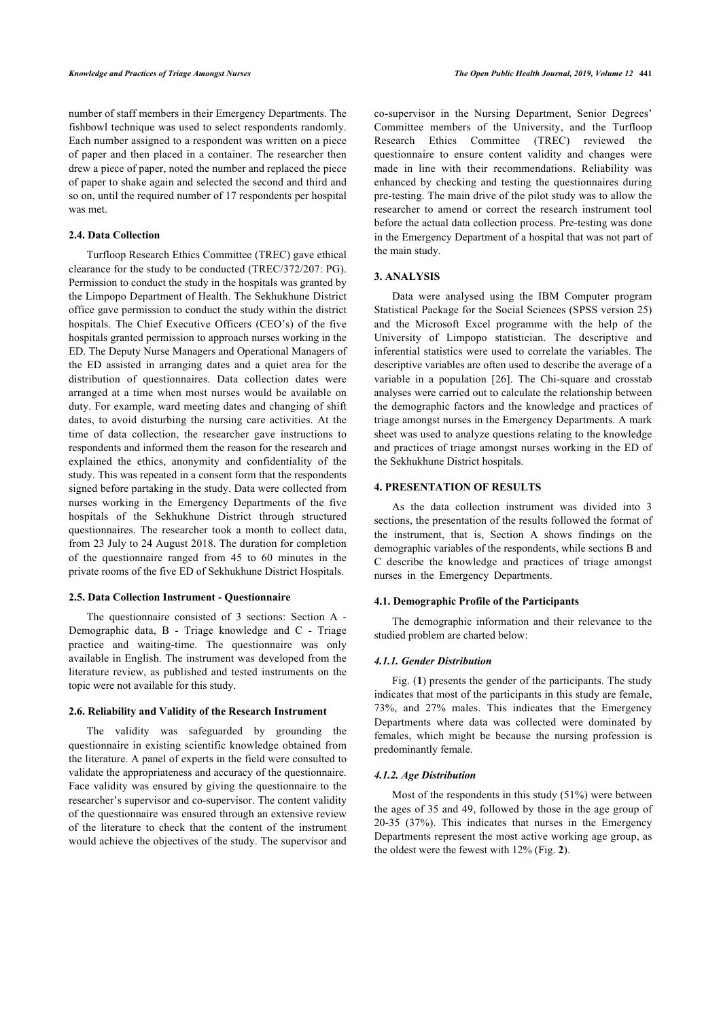number of staff members in their Emergency Departments. The fishbowl technique was used to select respondents randomly. Each number assigned to a respondent was written on a piece of paper and then placed in a container. The researcher then drew a piece of paper, noted the number and replaced the piece of paper to shake again and selected the second and third and so on, until the required number of 17 respondents per hospital was met.

## **2.4. Data Collection**

Turfloop Research Ethics Committee (TREC) gave ethical clearance for the study to be conducted (TREC/372/207: PG). Permission to conduct the study in the hospitals was granted by the Limpopo Department of Health. The Sekhukhune District office gave permission to conduct the study within the district hospitals. The Chief Executive Officers (CEO's) of the five hospitals granted permission to approach nurses working in the ED. The Deputy Nurse Managers and Operational Managers of the ED assisted in arranging dates and a quiet area for the distribution of questionnaires. Data collection dates were arranged at a time when most nurses would be available on duty. For example, ward meeting dates and changing of shift dates, to avoid disturbing the nursing care activities. At the time of data collection, the researcher gave instructions to respondents and informed them the reason for the research and explained the ethics, anonymity and confidentiality of the study. This was repeated in a consent form that the respondents signed before partaking in the study. Data were collected from nurses working in the Emergency Departments of the five hospitals of the Sekhukhune District through structured questionnaires. The researcher took a month to collect data, from 23 July to 24 August 2018. The duration for completion of the questionnaire ranged from 45 to 60 minutes in the private rooms of the five ED of Sekhukhune District Hospitals.

#### **2.5. Data Collection Instrument - Questionnaire**

The questionnaire consisted of 3 sections: Section A - Demographic data, B - Triage knowledge and C - Triage practice and waiting-time. The questionnaire was only available in English. The instrument was developed from the literature review, as published and tested instruments on the topic were not available for this study.

## **2.6. Reliability and Validity of the Research Instrument**

The validity was safeguarded by grounding the questionnaire in existing scientific knowledge obtained from the literature. A panel of experts in the field were consulted to validate the appropriateness and accuracy of the questionnaire. Face validity was ensured by giving the questionnaire to the researcher's supervisor and co-supervisor. The content validity of the questionnaire was ensured through an extensive review of the literature to check that the content of the instrument would achieve the objectives of the study. The supervisor and co-supervisor in the Nursing Department, Senior Degrees' Committee members of the University, and the Turfloop Research Ethics Committee (TREC) reviewed the questionnaire to ensure content validity and changes were made in line with their recommendations. Reliability was enhanced by checking and testing the questionnaires during pre-testing. The main drive of the pilot study was to allow the researcher to amend or correct the research instrument tool before the actual data collection process. Pre-testing was done in the Emergency Department of a hospital that was not part of the main study.

## **3. ANALYSIS**

Data were analysed using the IBM Computer program Statistical Package for the Social Sciences (SPSS version 25) and the Microsoft Excel programme with the help of the University of Limpopo statistician. The descriptive and inferential statistics were used to correlate the variables. The descriptive variables are often used to describe the average of a variable in a population [\[26](#page-9-24)]. The Chi-square and crosstab analyses were carried out to calculate the relationship between the demographic factors and the knowledge and practices of triage amongst nurses in the Emergency Departments. A mark sheet was used to analyze questions relating to the knowledge and practices of triage amongst nurses working in the ED of the Sekhukhune District hospitals.

## **4. PRESENTATION OF RESULTS**

As the data collection instrument was divided into 3 sections, the presentation of the results followed the format of the instrument, that is, Section A shows findings on the demographic variables of the respondents, while sections B and C describe the knowledge and practices of triage amongst nurses in the Emergency Departments.

## **4.1. Demographic Profile of the Participants**

The demographic information and their relevance to the studied problem are charted below:

## *4.1.1. Gender Distribution*

Fig. (**[1](#page-5-0)**) presents the gender of the participants. The study indicates that most of the participants in this study are female, 73%, and 27% males. This indicates that the Emergency Departments where data was collected were dominated by females, which might be because the nursing profession is predominantly female.

#### *4.1.2. Age Distribution*

Most of the respondents in this study (51%) were between the ages of 35 and 49, followed by those in the age group of 20-35 (37%). This indicates that nurses in the Emergency Departments represent the most active working age group, as the oldest were the fewest with 12% (Fig. **[2](#page-6-0)**).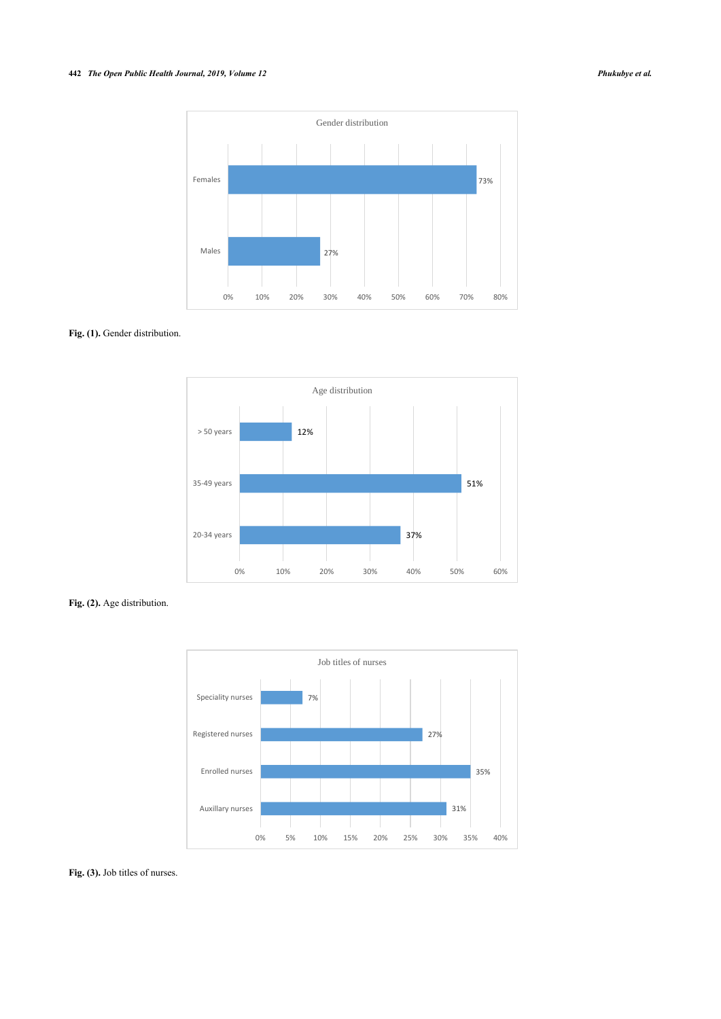

## Fig. (1). Gender distribution.



**Fig. (2).** Age distribution.



**Fig. (3).** Job titles of nurses.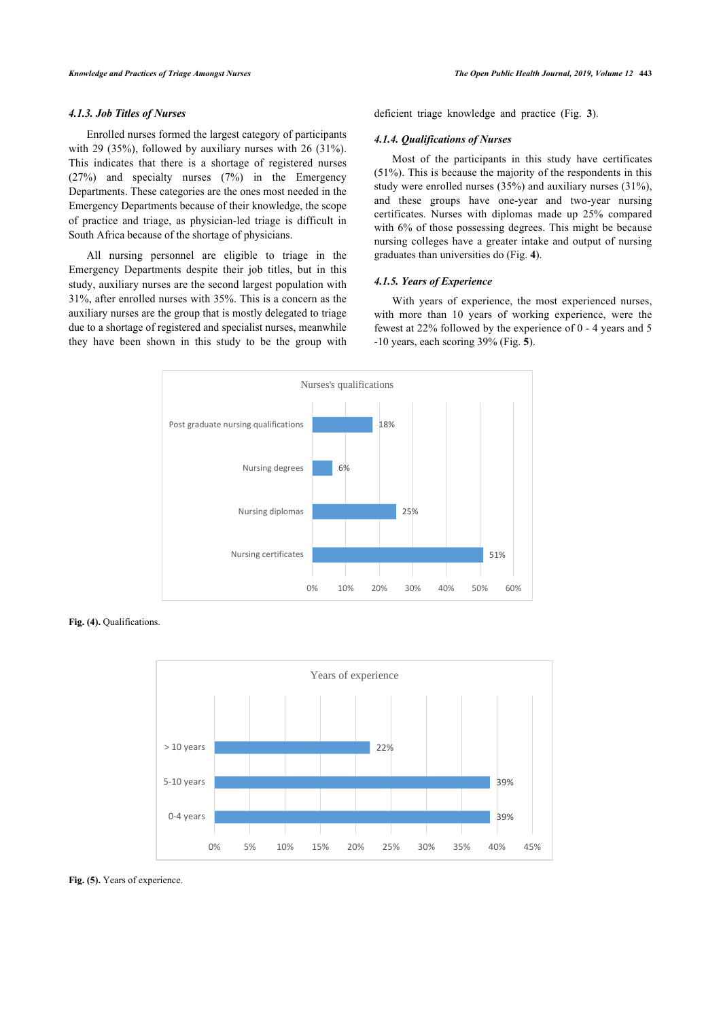## *4.1.3. Job Titles of Nurses*

Enrolled nurses formed the largest category of participants with 29 (35%), followed by auxiliary nurses with 26 (31%). This indicates that there is a shortage of registered nurses (27%) and specialty nurses (7%) in the Emergency Departments. These categories are the ones most needed in the Emergency Departments because of their knowledge, the scope of practice and triage, as physician-led triage is difficult in South Africa because of the shortage of physicians.

All nursing personnel are eligible to triage in the Emergency Departments despite their job titles, but in this study, auxiliary nurses are the second largest population with 31%, after enrolled nurses with 35%. This is a concern as the auxiliary nurses are the group that is mostly delegated to triage due to a shortage of registered and specialist nurses, meanwhile they have been shown in this study to be the group with deficient triage knowledge and practice (Fig.**3**).

## *4.1.4. Qualifications of Nurses*

Most of the participants in this study have certificates (51%). This is because the majority of the respondents in this study were enrolled nurses (35%) and auxiliary nurses (31%), and these groups have one-year and two-year nursing certificates. Nurses with diplomas made up 25% compared with 6% of those possessing degrees. This might be because nursing colleges have a greater intake and output of nursing graduates than universities do (Fig. **[4](#page--1-0)**).

## *4.1.5. Years of Experience*

With years of experience, the most experienced nurses, with more than 10 years of working experience, were the fewest at 22% followed by the experience of 0 - 4 years and 5 -10 years, each scoring 39% (Fig. **[5](#page--1-0)**).



Fig. (4). Oualifications.



**Fig. (5).** Years of experience.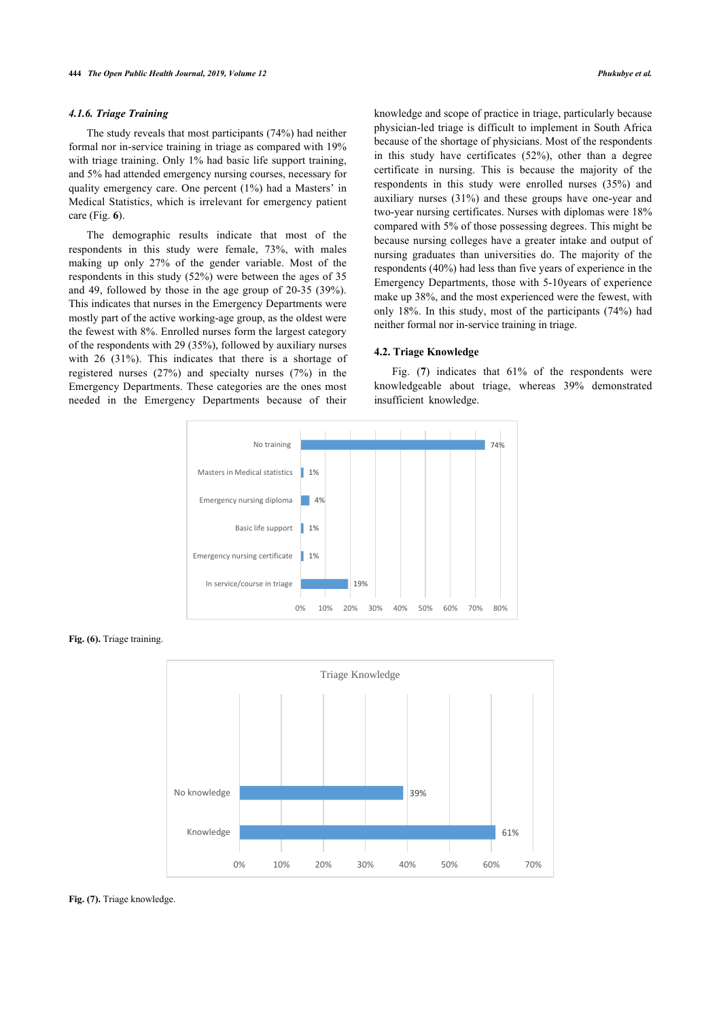## *4.1.6. Triage Training*

The study reveals that most participants (74%) had neither formal nor in-service training in triage as compared with 19% with triage training. Only 1% had basic life support training, and 5% had attended emergency nursing courses, necessary for quality emergency care. One percent (1%) had a Masters' in Medical Statistics, which is irrelevant for emergency patient care (Fig. **[6](#page--1-0)**).

The demographic results indicate that most of the respondents in this study were female, 73%, with males making up only 27% of the gender variable. Most of the respondents in this study (52%) were between the ages of 35 and 49, followed by those in the age group of 20-35 (39%). This indicates that nurses in the Emergency Departments were mostly part of the active working-age group, as the oldest were the fewest with 8%. Enrolled nurses form the largest category of the respondents with 29 (35%), followed by auxiliary nurses with 26 (31%). This indicates that there is a shortage of registered nurses (27%) and specialty nurses (7%) in the Emergency Departments. These categories are the ones most needed in the Emergency Departments because of their

knowledge and scope of practice in triage, particularly because physician-led triage is difficult to implement in South Africa because of the shortage of physicians. Most of the respondents in this study have certificates (52%), other than a degree certificate in nursing. This is because the majority of the respondents in this study were enrolled nurses (35%) and auxiliary nurses (31%) and these groups have one-year and two-year nursing certificates. Nurses with diplomas were 18% compared with 5% of those possessing degrees. This might be because nursing colleges have a greater intake and output of nursing graduates than universities do. The majority of the respondents (40%) had less than five years of experience in the Emergency Departments, those with 5-10years of experience make up 38%, and the most experienced were the fewest, with only 18%. In this study, most of the participants (74%) had neither formal nor in-service training in triage.

#### **4.2. Triage Knowledge**

Fig. (**[7](#page--1-0)**) indicates that 61% of the respondents were knowledgeable about triage, whereas 39% demonstrated insufficient knowledge.



<span id="page-5-0"></span>**Fig. (6).** Triage training.



**Fig. (7).** Triage knowledge.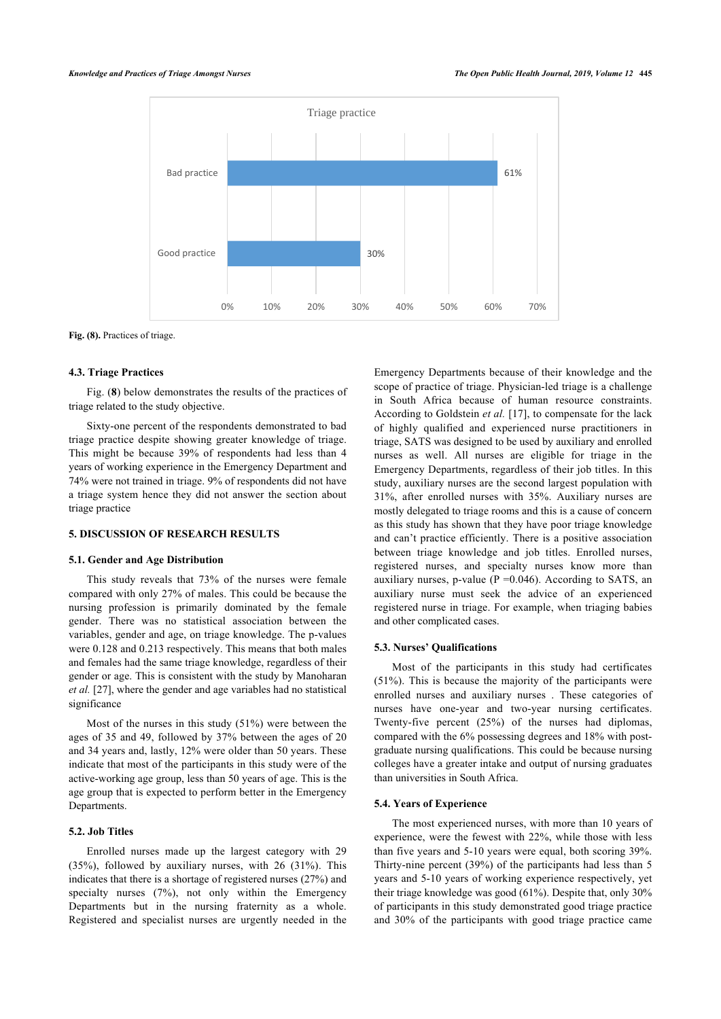<span id="page-6-0"></span>

Fig. (8). Practices of triage.

#### **4.3. Triage Practices**

Fig. (**[8](#page--1-0)**) below demonstrates the results of the practices of triage related to the study objective.

Sixty-one percent of the respondents demonstrated to bad triage practice despite showing greater knowledge of triage. This might be because 39% of respondents had less than 4 years of working experience in the Emergency Department and 74% were not trained in triage. 9% of respondents did not have a triage system hence they did not answer the section about triage practice

## **5. DISCUSSION OF RESEARCH RESULTS**

#### **5.1. Gender and Age Distribution**

This study reveals that 73% of the nurses were female compared with only 27% of males. This could be because the nursing profession is primarily dominated by the female gender. There was no statistical association between the variables, gender and age, on triage knowledge. The p-values were 0.128 and 0.213 respectively. This means that both males and females had the same triage knowledge, regardless of their gender or age. This is consistent with the study by Manoharan *et al.* [[27](#page-9-25)], where the gender and age variables had no statistical significance

Most of the nurses in this study (51%) were between the ages of 35 and 49, followed by 37% between the ages of 20 and 34 years and, lastly, 12% were older than 50 years. These indicate that most of the participants in this study were of the active-working age group, less than 50 years of age. This is the age group that is expected to perform better in the Emergency Departments.

## **5.2. Job Titles**

Enrolled nurses made up the largest category with 29 (35%), followed by auxiliary nurses, with 26 (31%). This indicates that there is a shortage of registered nurses (27%) and specialty nurses (7%), not only within the Emergency Departments but in the nursing fraternity as a whole. Registered and specialist nurses are urgently needed in the

Emergency Departments because of their knowledge and the scope of practice of triage. Physician-led triage is a challenge in South Africa because of human resource constraints. According to Goldstein *et al.* [[17](#page-9-15)], to compensate for the lack of highly qualified and experienced nurse practitioners in triage, SATS was designed to be used by auxiliary and enrolled nurses as well. All nurses are eligible for triage in the Emergency Departments, regardless of their job titles. In this study, auxiliary nurses are the second largest population with 31%, after enrolled nurses with 35%. Auxiliary nurses are mostly delegated to triage rooms and this is a cause of concern as this study has shown that they have poor triage knowledge and can't practice efficiently. There is a positive association between triage knowledge and job titles. Enrolled nurses, registered nurses, and specialty nurses know more than auxiliary nurses, p-value ( $P = 0.046$ ). According to SATS, an auxiliary nurse must seek the advice of an experienced registered nurse in triage. For example, when triaging babies and other complicated cases.

## **5.3. Nurses' Qualifications**

Most of the participants in this study had certificates (51%). This is because the majority of the participants were enrolled nurses and auxiliary nurses . These categories of nurses have one-year and two-year nursing certificates. Twenty-five percent (25%) of the nurses had diplomas, compared with the 6% possessing degrees and 18% with postgraduate nursing qualifications. This could be because nursing colleges have a greater intake and output of nursing graduates than universities in South Africa.

## **5.4. Years of Experience**

The most experienced nurses, with more than 10 years of experience, were the fewest with 22%, while those with less than five years and 5-10 years were equal, both scoring 39%. Thirty-nine percent (39%) of the participants had less than 5 years and 5-10 years of working experience respectively, yet their triage knowledge was good (61%). Despite that, only 30% of participants in this study demonstrated good triage practice and 30% of the participants with good triage practice came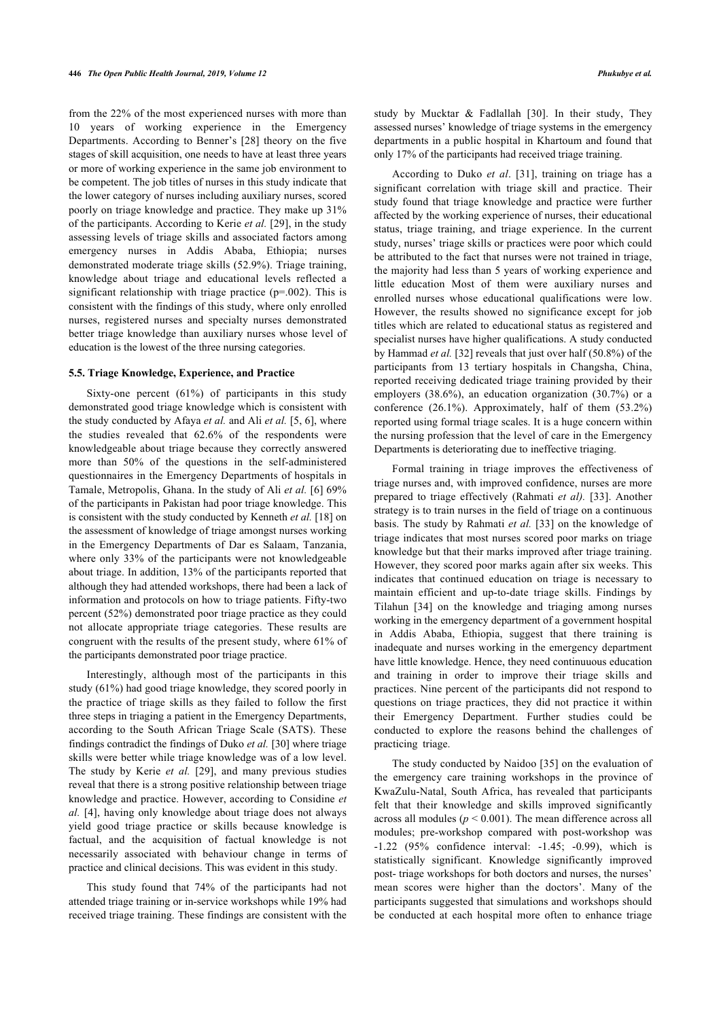from the 22% of the most experienced nurses with more than 10 years of working experience in the Emergency Departments. According to Benner's [[28](#page-9-26)] theory on the five stages of skill acquisition, one needs to have at least three years or more of working experience in the same job environment to be competent. The job titles of nurses in this study indicate that the lower category of nurses including auxiliary nurses, scored poorly on triage knowledge and practice. They make up 31% of the participants. According to Kerie *et al.* [\[29](#page-9-27)], in the study assessing levels of triage skills and associated factors among emergency nurses in Addis Ababa, Ethiopia; nurses demonstrated moderate triage skills (52.9%). Triage training, knowledge about triage and educational levels reflected a significant relationship with triage practice (p=.002). This is consistent with the findings of this study, where only enrolled nurses, registered nurses and specialty nurses demonstrated better triage knowledge than auxiliary nurses whose level of education is the lowest of the three nursing categories.

#### **5.5. Triage Knowledge, Experience, and Practice**

Sixty-one percent (61%) of participants in this study demonstrated good triage knowledge which is consistent with the study conducted by Afaya *et al.* and Ali *et al.* [[5](#page-9-3), [6](#page-9-4)], where the studies revealed that 62.6% of the respondents were knowledgeable about triage because they correctly answered more than 50% of the questions in the self-administered questionnaires in the Emergency Departments of hospitals in Tamale, Metropolis, Ghana. In the study of Ali *et al.* [\[6\]](#page-9-4) 69% of the participants in Pakistan had poor triage knowledge. This is consistent with the study conducted by Kenneth *et al.* [\[18](#page-9-16)] on the assessment of knowledge of triage amongst nurses working in the Emergency Departments of Dar es Salaam, Tanzania, where only 33% of the participants were not knowledgeable about triage. In addition, 13% of the participants reported that although they had attended workshops, there had been a lack of information and protocols on how to triage patients. Fifty-two percent (52%) demonstrated poor triage practice as they could not allocate appropriate triage categories. These results are congruent with the results of the present study, where 61% of the participants demonstrated poor triage practice.

Interestingly, although most of the participants in this study (61%) had good triage knowledge, they scored poorly in the practice of triage skills as they failed to follow the first three steps in triaging a patient in the Emergency Departments, according to the South African Triage Scale (SATS). These findings contradict the findings of Duko *et al.* [\[30](#page-9-28)] where triage skills were better while triage knowledge was of a low level. The study by Kerie *et al.* [\[29\]](#page-9-27), and many previous studies reveal that there is a strong positive relationship between triage knowledge and practice. However, according to Considine *et al.* [[4](#page-9-2)], having only knowledge about triage does not always yield good triage practice or skills because knowledge is factual, and the acquisition of factual knowledge is not necessarily associated with behaviour change in terms of practice and clinical decisions. This was evident in this study.

This study found that 74% of the participants had not attended triage training or in-service workshops while 19% had received triage training. These findings are consistent with the

study by Mucktar & Fadlallah [\[30\]](#page-9-28). In their study, They assessed nurses' knowledge of triage systems in the emergency departments in a public hospital in Khartoum and found that only 17% of the participants had received triage training.

According to Duko *et al*. [\[31](#page-9-29)], training on triage has a significant correlation with triage skill and practice. Their study found that triage knowledge and practice were further affected by the working experience of nurses, their educational status, triage training, and triage experience. In the current study, nurses' triage skills or practices were poor which could be attributed to the fact that nurses were not trained in triage, the majority had less than 5 years of working experience and little education Most of them were auxiliary nurses and enrolled nurses whose educational qualifications were low. However, the results showed no significance except for job titles which are related to educational status as registered and specialist nurses have higher qualifications. A study conducted by Hammad *et al.* [[32\]](#page-9-30) reveals that just over half (50.8%) of the participants from 13 tertiary hospitals in Changsha, China, reported receiving dedicated triage training provided by their employers (38.6%), an education organization (30.7%) or a conference  $(26.1\%)$ . Approximately, half of them  $(53.2\%)$ reported using formal triage scales. It is a huge concern within the nursing profession that the level of care in the Emergency Departments is deteriorating due to ineffective triaging.

Formal training in triage improves the effectiveness of triage nurses and, with improved confidence, nurses are more prepared to triage effectively (Rahmati *et al).* [\[33\]](#page-9-31). Another strategy is to train nurses in the field of triage on a continuous basis. The study by Rahmati *et al.* [\[33\]](#page-9-31) on the knowledge of triage indicates that most nurses scored poor marks on triage knowledge but that their marks improved after triage training. However, they scored poor marks again after six weeks. This indicates that continued education on triage is necessary to maintain efficient and up-to-date triage skills. Findings by Tilahun[[34](#page-9-32)] on the knowledge and triaging among nurses working in the emergency department of a government hospital in Addis Ababa, Ethiopia, suggest that there training is inadequate and nurses working in the emergency department have little knowledge. Hence, they need continuuous education and training in order to improve their triage skills and practices. Nine percent of the participants did not respond to questions on triage practices, they did not practice it within their Emergency Department. Further studies could be conducted to explore the reasons behind the challenges of practicing triage.

The study conducted by Naidoo [[35](#page-9-33)] on the evaluation of the emergency care training workshops in the province of KwaZulu-Natal, South Africa, has revealed that participants felt that their knowledge and skills improved significantly across all modules ( $p \le 0.001$ ). The mean difference across all modules; pre-workshop compared with post-workshop was -1.22 (95% confidence interval: -1.45; -0.99), which is statistically significant. Knowledge significantly improved post- triage workshops for both doctors and nurses, the nurses' mean scores were higher than the doctors'. Many of the participants suggested that simulations and workshops should be conducted at each hospital more often to enhance triage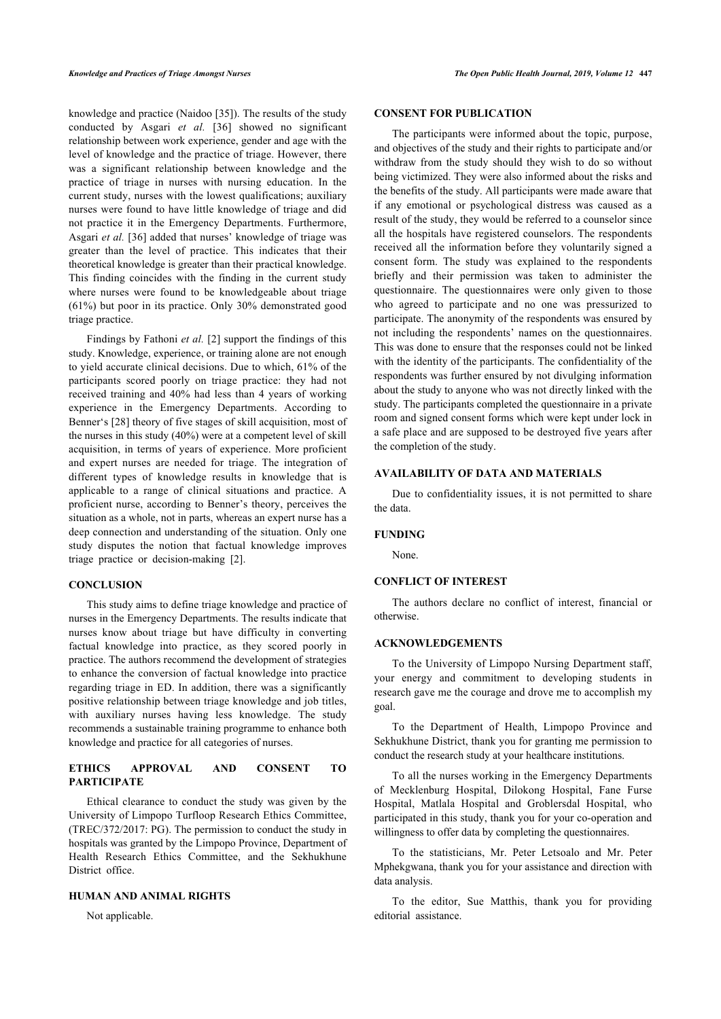knowledge and practice (Naidoo [[35\]](#page-9-33)). The results of the study conducted by Asgari *et al.* [[36](#page-9-34)] showed no significant relationship between work experience, gender and age with the level of knowledge and the practice of triage. However, there was a significant relationship between knowledge and the practice of triage in nurses with nursing education. In the current study, nurses with the lowest qualifications; auxiliary nurses were found to have little knowledge of triage and did not practice it in the Emergency Departments. Furthermore, Asgari *et al.* [[36](#page-9-34)] added that nurses' knowledge of triage was greater than the level of practice. This indicates that their theoretical knowledge is greater than their practical knowledge. This finding coincides with the finding in the current study where nurses were found to be knowledgeable about triage (61%) but poor in its practice. Only 30% demonstrated good triage practice.

Findings by Fathoni *et al.* [[2](#page-9-1)] support the findings of this study. Knowledge, experience, or training alone are not enough to yield accurate clinical decisions. Due to which, 61% of the participants scored poorly on triage practice: they had not received training and 40% had less than 4 years of working experience in the Emergency Departments. According to Benner's [[28\]](#page-9-26) theory of five stages of skill acquisition, most of the nurses in this study (40%) were at a competent level of skill acquisition, in terms of years of experience. More proficient and expert nurses are needed for triage. The integration of different types of knowledge results in knowledge that is applicable to a range of clinical situations and practice. A proficient nurse, according to Benner's theory, perceives the situation as a whole, not in parts, whereas an expert nurse has a deep connection and understanding of the situation. Only one study disputes the notion that factual knowledge improves triage practice or decision-making [\[2\]](#page-9-1).

## **CONCLUSION**

This study aims to define triage knowledge and practice of nurses in the Emergency Departments. The results indicate that nurses know about triage but have difficulty in converting factual knowledge into practice, as they scored poorly in practice. The authors recommend the development of strategies to enhance the conversion of factual knowledge into practice regarding triage in ED. In addition, there was a significantly positive relationship between triage knowledge and job titles, with auxiliary nurses having less knowledge. The study recommends a sustainable training programme to enhance both knowledge and practice for all categories of nurses.

## **ETHICS APPROVAL AND CONSENT TO PARTICIPATE**

Ethical clearance to conduct the study was given by the University of Limpopo Turfloop Research Ethics Committee, (TREC/372/2017: PG). The permission to conduct the study in hospitals was granted by the Limpopo Province, Department of Health Research Ethics Committee, and the Sekhukhune District office.

## **HUMAN AND ANIMAL RIGHTS**

Not applicable.

## **CONSENT FOR PUBLICATION**

The participants were informed about the topic, purpose, and objectives of the study and their rights to participate and/or withdraw from the study should they wish to do so without being victimized. They were also informed about the risks and the benefits of the study. All participants were made aware that if any emotional or psychological distress was caused as a result of the study, they would be referred to a counselor since all the hospitals have registered counselors. The respondents received all the information before they voluntarily signed a consent form. The study was explained to the respondents briefly and their permission was taken to administer the questionnaire. The questionnaires were only given to those who agreed to participate and no one was pressurized to participate. The anonymity of the respondents was ensured by not including the respondents' names on the questionnaires. This was done to ensure that the responses could not be linked with the identity of the participants. The confidentiality of the respondents was further ensured by not divulging information about the study to anyone who was not directly linked with the study. The participants completed the questionnaire in a private room and signed consent forms which were kept under lock in a safe place and are supposed to be destroyed five years after the completion of the study.

## **AVAILABILITY OF DATA AND MATERIALS**

Due to confidentiality issues, it is not permitted to share the data.

## **FUNDING**

None.

## **CONFLICT OF INTEREST**

The authors declare no conflict of interest, financial or otherwise.

## **ACKNOWLEDGEMENTS**

To the University of Limpopo Nursing Department staff, your energy and commitment to developing students in research gave me the courage and drove me to accomplish my goal.

To the Department of Health, Limpopo Province and Sekhukhune District, thank you for granting me permission to conduct the research study at your healthcare institutions.

To all the nurses working in the Emergency Departments of Mecklenburg Hospital, Dilokong Hospital, Fane Furse Hospital, Matlala Hospital and Groblersdal Hospital, who participated in this study, thank you for your co-operation and willingness to offer data by completing the questionnaires.

To the statisticians, Mr. Peter Letsoalo and Mr. Peter Mphekgwana, thank you for your assistance and direction with data analysis.

To the editor, Sue Matthis, thank you for providing editorial assistance.